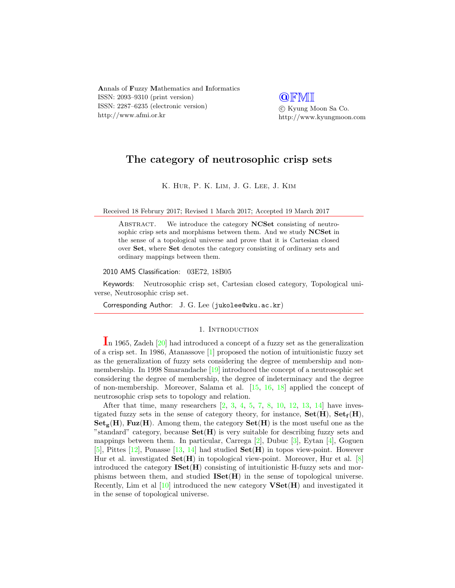Annals of Fuzzy Mathematics and Informatics ISSN: 2093–9310 (print version) ISSN: 2287–6235 (electronic version) http://www.afmi.or.kr

**QFMI**  c Kyung Moon Sa Co. http://www.kyungmoon.com

# The category of neutrosophic crisp sets

K. Hur, P. K. Lim, J. G. Lee, J. Kim

Received 18 Februry 2017; Revised 1 March 2017; Accepted 19 March 2017

ABSTRACT. We introduce the category NCSet consisting of neutrosophic crisp sets and morphisms between them. And we study NCSet in the sense of a topological universe and prove that it is Cartesian closed over Set, where Set denotes the category consisting of ordinary sets and ordinary mappings between them.

2010 AMS Classification: 03E72, 18B05

Keywords: Neutrosophic crisp set, Cartesian closed category, Topological universe, Neutrosophic crisp set.

Corresponding Author: J. G. Lee (jukolee@wku.ac.kr)

## 1. INTRODUCTION

In 1965, Zadeh  $[20]$  had introduced a concept of a fuzzy set as the generalization of a crisp set. In 1986, Atanassove [\[1\]](#page-10-0) proposed the notion of intuitionistic fuzzy set as the generalization of fuzzy sets considering the degree of membership and nonmembership. In 1998 Smarandache [\[19\]](#page-11-1) introduced the concept of a neutrosophic set considering the degree of membership, the degree of indeterminacy and the degree of non-membership. Moreover, Salama et al. [\[15,](#page-11-2) [16,](#page-11-3) [18\]](#page-11-4) applied the concept of neutrosophic crisp sets to topology and relation.

After that time, many researchers  $[2, 3, 4, 5, 7, 8, 10, 12, 13, 14]$  $[2, 3, 4, 5, 7, 8, 10, 12, 13, 14]$  $[2, 3, 4, 5, 7, 8, 10, 12, 13, 14]$  $[2, 3, 4, 5, 7, 8, 10, 12, 13, 14]$  $[2, 3, 4, 5, 7, 8, 10, 12, 13, 14]$  $[2, 3, 4, 5, 7, 8, 10, 12, 13, 14]$  $[2, 3, 4, 5, 7, 8, 10, 12, 13, 14]$  $[2, 3, 4, 5, 7, 8, 10, 12, 13, 14]$  $[2, 3, 4, 5, 7, 8, 10, 12, 13, 14]$  $[2, 3, 4, 5, 7, 8, 10, 12, 13, 14]$  $[2, 3, 4, 5, 7, 8, 10, 12, 13, 14]$  $[2, 3, 4, 5, 7, 8, 10, 12, 13, 14]$  $[2, 3, 4, 5, 7, 8, 10, 12, 13, 14]$  $[2, 3, 4, 5, 7, 8, 10, 12, 13, 14]$  $[2, 3, 4, 5, 7, 8, 10, 12, 13, 14]$  $[2, 3, 4, 5, 7, 8, 10, 12, 13, 14]$  $[2, 3, 4, 5, 7, 8, 10, 12, 13, 14]$  $[2, 3, 4, 5, 7, 8, 10, 12, 13, 14]$  $[2, 3, 4, 5, 7, 8, 10, 12, 13, 14]$  have investigated fuzzy sets in the sense of category theory, for instance,  $\text{Set}(H)$ ,  $\text{Set}_{f}(H)$ ,  $\mathbf{Set}_{\sigma}(\mathbf{H})$ , Fuz(H). Among them, the category  $\mathbf{Set}(\mathbf{H})$  is the most useful one as the "standard" category, because  $\mathbf{Set}(\mathbf{H})$  is very suitable for describing fuzzy sets and mappings between them. In particular, Carrega  $[2]$ , Dubuc  $[3]$ , Eytan  $[4]$ , Goguen [\[5\]](#page-10-4), Pittes  $[12]$ , Ponasse  $[13, 14]$  $[13, 14]$  $[13, 14]$  had studied  $Set(H)$  in topos view-point. However Hur et al. investigated  $\textbf{Set}(\mathbf{H})$  in topological view-point. Moreover, Hur et al. [\[8\]](#page-10-6) introduced the category  $\bf{ISet}(H)$  consisting of intuitionistic H-fuzzy sets and morphisms between them, and studied  $ISet(H)$  in the sense of topological universe. Recently, Lim et al  $[10]$  introduced the new category  $\mathbf{VSet}(\mathbf{H})$  and investigated it in the sense of topological universe.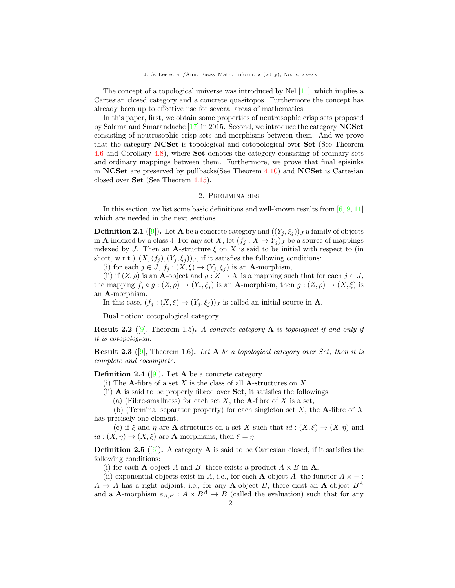The concept of a topological universe was introduced by Nel [\[11\]](#page-10-8), which implies a Cartesian closed category and a concrete quasitopos. Furthermore the concept has already been up to effective use for several areas of mathematics.

In this paper, first, we obtain some properties of neutrosophic crisp sets proposed by Salama and Smarandache [\[17\]](#page-11-8) in 2015. Second, we introduce the category NCSet consisting of neutrosophic crisp sets and morphisms between them. And we prove that the category NCSet is topological and cotopological over Set (See Theorem 4.6 and Corollary 4.8), where Set denotes the category consisting of ordinary sets and ordinary mappings between them. Furthermore, we prove that final episinks in NCSet are preserved by pullbacks(See Theorem 4.10) and NCSet is Cartesian closed over Set (See Theorem 4.15).

## 2. Preliminaries

In this section, we list some basic definitions and well-known results from [\[6,](#page-10-9) [9,](#page-10-10) [11\]](#page-10-8) which are needed in the next sections.

**Definition 2.1** ([\[9\]](#page-10-10)). Let **A** be a concrete category and  $((Y_j, \xi_j))_J$  a family of objects in **A** indexed by a class J. For any set X, let  $(f_i : X \to Y_j)_J$  be a source of mappings indexed by J. Then an A-structure  $\xi$  on X is said to be initial with respect to (in short, w.r.t.)  $(X,(f_j),(Y_j,\xi_j))_J$ , if it satisfies the following conditions:

(i) for each  $j \in J$ ,  $f_j : (X, \xi) \to (Y_j, \xi_j)$  is an **A**-morphism,

(ii) if  $(Z, \rho)$  is an **A**-object and  $g : Z \to X$  is a mapping such that for each  $j \in J$ , the mapping  $f_j \circ g : (Z, \rho) \to (Y_j, \xi_j)$  is an **A**-morphism, then  $g : (Z, \rho) \to (X, \xi)$  is an A-morphism.

In this case,  $(f_j : (X, \xi) \to (Y_j, \xi_j))_J$  is called an initial source in **A**.

Dual notion: cotopological category.

**Result 2.2** ([\[9\]](#page-10-10), Theorem 1.5). A concrete category **A** is topological if and only if it is cotopological.

**Result 2.3** ([\[9\]](#page-10-10), Theorem 1.6). Let **A** be a topological category over Set, then it is complete and cocomplete.

**Definition 2.4** ([\[9\]](#page-10-10)). Let **A** be a concrete category.

(i) The **A**-fibre of a set X is the class of all **A**-structures on X.

(ii) A is said to be properly fibred over Set, it satisfies the followings:

(a) (Fibre-smallness) for each set  $X$ , the **A**-fibre of  $X$  is a set,

(b) (Terminal separator property) for each singleton set  $X$ , the A-fibre of X has precisely one element,

(c) if  $\xi$  and  $\eta$  are **A**-structures on a set X such that  $id : (X, \xi) \to (X, \eta)$  and  $id: (X, \eta) \to (X, \xi)$  are **A**-morphisms, then  $\xi = \eta$ .

**Definition 2.5** ([\[6\]](#page-10-9)). A category **A** is said to be Cartesian closed, if it satisfies the following conditions:

(i) for each **A**-object A and B, there exists a product  $A \times B$  in **A**,

(ii) exponential objects exist in A, i.e., for each A-object A, the functor  $A \times -$ :  $A \rightarrow A$  has a right adjoint, i.e., for any **A**-object B, there exist an **A**-object  $B^A$ and a **A**-morphism  $e_{A,B}: A \times B^A \to B$  (called the evaluation) such that for any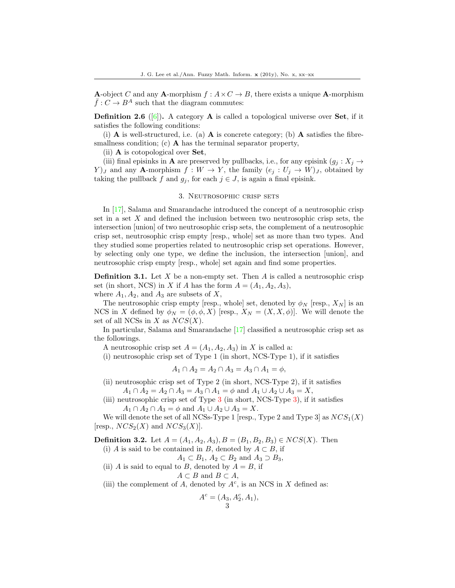**A**-object C and any **A**-morphism  $f : A \times C \rightarrow B$ , there exists a unique **A**-morphism  $\bar{f}: C \to B^A$  such that the diagram commutes:

**Definition 2.6** ([\[6\]](#page-10-9)). A category **A** is called a topological universe over **Set**, if it satisfies the following conditions:

(i)  $\bf{A}$  is well-structured, i.e. (a)  $\bf{A}$  is concrete category; (b)  $\bf{A}$  satisfies the fibresmallness condition; (c)  $\bf{A}$  has the terminal separator property,

(ii) A is cotopological over Set,

(iii) final episinks in **A** are preserved by pullbacks, i.e., for any episink  $(g_j : X_j \to$  $Y$ ) *J* and any **A**-morphism  $f: W \to Y$ , the family  $(e_j: U_j \to W)$ , obtained by taking the pullback f and  $g_j$ , for each  $j \in J$ , is again a final episink.

## 3. Neutrosophic crisp sets

In [\[17\]](#page-11-8), Salama and Smarandache introduced the concept of a neutrosophic crisp set in a set  $X$  and defined the inclusion between two neutrosophic crisp sets, the intersection [union] of two neutrosophic crisp sets, the complement of a neutrosophic crisp set, neutrosophic crisp empty [resp., whole] set as more than two types. And they studied some properties related to neutrosophic crisp set operations. However, by selecting only one type, we define the inclusion, the intersection [union], and neutrosophic crisp empty [resp., whole] set again and find some properties.

**Definition 3.1.** Let  $X$  be a non-empty set. Then  $A$  is called a neutrosophic crisp set (in short, NCS) in X if A has the form  $A = (A_1, A_2, A_3)$ ,

where  $A_1, A_2$ , and  $A_3$  are subsets of X,

The neutrosophic crisp empty [resp., whole] set, denoted by  $\phi_N$  [resp.,  $X_N$ ] is an NCS in X defined by  $\phi_N = (\phi, \phi, X)$  [resp.,  $X_N = (X, X, \phi)$ ]. We will denote the set of all NCSs in X as  $NCS(X)$ .

In particular, Salama and Smarandache [\[17\]](#page-11-8) classified a neutrosophic crisp set as the followings.

A neutrosophic crisp set  $A = (A_1, A_2, A_3)$  in X is called a:

(i) neutrosophic crisp set of Type 1 (in short, NCS-Type 1), if it satisfies

$$
A_1 \cap A_2 = A_2 \cap A_3 = A_3 \cap A_1 = \phi,
$$

- (ii) neutrosophic crisp set of Type 2 (in short, NCS-Type 2), if it satisfies  $A_1 \cap A_2 = A_2 \cap A_3 = A_3 \cap A_1 = \phi$  and  $A_1 \cup A_2 \cup A_3 = X$ ,
- (iii) neutrosophic crisp set of Type 3 (in short, NCS-Type 3), if it satisfies  $A_1 \cap A_2 \cap A_3 = \phi$  and  $A_1 \cup A_2 \cup A_3 = X$ .

We will denote the set of all NCSs-Type 1 [resp., Type 2 and Type 3] as  $NCS_1(X)$ [resp.,  $NCS_2(X)$  and  $NCS_3(X)$ ].

**Definition 3.2.** Let  $A = (A_1, A_2, A_3), B = (B_1, B_2, B_3) \in NCS(X)$ . Then

(i) A is said to be contained in B, denoted by  $A \subset B$ , if

$$
A_1 \subset B_1, A_2 \subset B_2 \text{ and } A_3 \supset B_3,
$$

(ii) A is said to equal to B, denoted by  $A = B$ , if

$$
A \subset B \text{ and } B \subset A,
$$

(iii) the complement of A, denoted by  $A<sup>c</sup>$ , is an NCS in X defined as:

$$
A^c = (A_3, A_2^c, A_1),
$$
  
3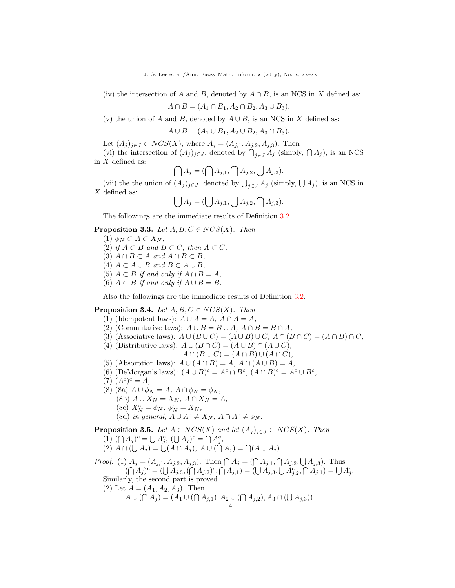(iv) the intersection of A and B, denoted by  $A \cap B$ , is an NCS in X defined as:

$$
A \cap B = (A_1 \cap B_1, A_2 \cap B_2, A_3 \cup B_3),
$$

(v) the union of A and B, denoted by  $A \cup B$ , is an NCS in X defined as:

$$
A \cup B = (A_1 \cup B_1, A_2 \cup B_2, A_3 \cap B_3).
$$

Let  $(A_j)_{j\in J} \subset NCS(X)$ , where  $A_j = (A_{j,1}, A_{j,2}, A_{j,3})$ . Then

(vi) the intersection of  $(A_j)_{j\in J}$ , denoted by  $\bigcap_{j\in J} A_j$  (simply,  $\bigcap A_j$ ), is an NCS in  $X$  defined as:

$$
\bigcap A_j = (\bigcap A_{j,1}, \bigcap A_{j,2}, \bigcup A_{j,3}),
$$

(vii) the the union of  $(A_j)_{j\in J}$ , denoted by  $\bigcup_{j\in J} A_j$  (simply,  $\bigcup A_j$ ), is an NCS in  $X$  defined as:

$$
\bigcup A_j = (\bigcup A_{j,1}, \bigcup A_{j,2}, \bigcap A_{j,3}).
$$

The followings are the immediate results of Definition 3.2.

### **Proposition 3.3.** Let  $A, B, C \in NCS(X)$ . Then

- (1)  $\phi_N \subset A \subset X_N$ ,
- (2) if  $A \subset B$  and  $B \subset C$ , then  $A \subset C$ ,
- (3)  $A \cap B \subset A$  and  $A \cap B \subset B$ ,
- (4)  $A \subset A \cup B$  and  $B \subset A \cup B$ ,
- (5)  $A \subset B$  if and only if  $A \cap B = A$ ,
- (6)  $A \subset B$  if and only if  $A \cup B = B$ .

Also the followings are the immediate results of Definition 3.2.

## **Proposition 3.4.** Let  $A, B, C \in NCS(X)$ . Then

- (1) (Idempotent laws):  $A \cup A = A$ ,  $A \cap A = A$ ,
- (2) (Commutative laws):  $A \cup B = B \cup A$ ,  $A \cap B = B \cap A$ ,
- (3) (Associative laws):  $A \cup (B \cup C) = (A \cup B) \cup C$ ,  $A \cap (B \cap C) = (A \cap B) \cap C$ ,
- (4) (Distributive laws):  $A \cup (B \cap C) = (A \cup B) \cap (A \cup C)$ ,
	- $A \cap (B \cup C) = (A \cap B) \cup (A \cap C),$
- (5) (Absorption laws):  $A \cup (A \cap B) = A$ ,  $A \cap (A \cup B) = A$ ,
- (6) (DeMorgan's laws):  $(A \cup B)^c = A^c \cap B^c$ ,  $(A \cap B)^c = A^c \cup B^c$ ,
- $(7) (A^c)^c = A,$
- (8) (8a)  $A \cup \phi_N = A$ ,  $A \cap \phi_N = \phi_N$ ,
	- (8b)  $A \cup X_N = X_N$ ,  $A \cap X_N = A$ ,
		- (8c)  $X_N^c = \phi_N, \ \phi_N^c = X_N,$
		- (8d) in general,  $A \cup A^c \neq X_N$ ,  $A \cap A^c \neq \phi_N$ .

**Proposition 3.5.** Let  $A \in NCS(X)$  and let  $(A_i)_{i \in J} \subset NCS(X)$ . Then

- (1)  $(\bigcap A_j)^c = \bigcup A_j^c$ ,  $(\bigcup A_j)^c = \bigcap A_j^c$ ,
- (2)  $A \cap (\bigcup A_j) = \bigcup (A \cap A_j), A \cup (\bigcap A_j) = \bigcap (A \cup A_j).$

*Proof.* (1)  $A_j = (A_{j,1}, A_{j,2}, A_{j,3})$ . Then  $\bigcap A_j = (\bigcap A_{j,1}, \bigcap A_{j,2}, \bigcup A_{j,3})$ . Thus  $(\bigcap A_j)^c = (\bigcup A_{j,3}, (\bigcap A_{j,2})^c, \bigcap A_{j,1}) = (\bigcup A_{j,3}, \bigcup A_{j,2}^c, \bigcap A_{j,1}) = \bigcup A_j^c.$ 

Similarly, the second part is proved.

(2) Let  $A = (A_1, A_2, A_3)$ . Then  $A \cup (\bigcap A_j) = (A_1 \cup (\bigcap A_{j,1}), A_2 \cup (\bigcap A_{j,2}), A_3 \cap (\bigcup A_{j,3}))$ 4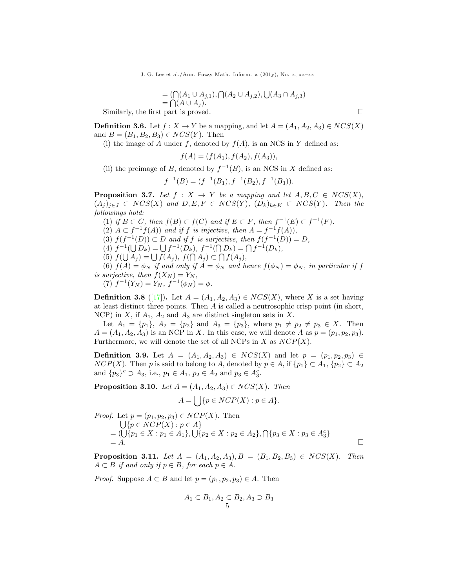$$
= (\bigcap (A_1 \cup A_{j,1}), \bigcap (A_2 \cup A_{j,2}), \bigcup (A_3 \cap A_{j,3})
$$
  
= \bigcap (A \cup A\_j).

Similarly, the first part is proved.  $\square$ 

**Definition 3.6.** Let  $f : X \to Y$  be a mapping, and let  $A = (A_1, A_2, A_3) \in NCS(X)$ and  $B = (B_1, B_2, B_3) \in NCS(Y)$ . Then

(i) the image of A under f, denoted by  $f(A)$ , is an NCS in Y defined as:

$$
f(A) = (f(A_1), f(A_2), f(A_3)),
$$

(ii) the preimage of B, denoted by  $f^{-1}(B)$ , is an NCS in X defined as:

$$
f^{-1}(B) = (f^{-1}(B_1), f^{-1}(B_2), f^{-1}(B_3)).
$$

**Proposition 3.7.** Let  $f : X \to Y$  be a mapping and let  $A, B, C \in NCS(X)$ ,  $(A_j)_{j\in J} \subset NCS(X)$  and  $D, E, F \in NCS(Y)$ ,  $(D_k)_{k\in K} \subset NCS(Y)$ . Then the followings hold:

- (1) if  $B \subset C$ , then  $f(B) \subset f(C)$  and if  $E \subset F$ , then  $f^{-1}(E) \subset f^{-1}(F)$ .
- (2)  $A \subset f^{-1}f(A)$  and if f is injective, then  $A = f^{-1}f(A)$ ,
- (3)  $f(f^{-1}(D)) \subset D$  and if f is surjective, then  $f(f^{-1}(D)) = D$ ,

(4)  $f^{-1}(\bigcup D_k) = \bigcup f^{-1}(D_k), f^{-1}(\bigcap D_k) = \bigcap f^{-1}(D_k),$ 

(5)  $f(\bigcup A_j) = \bigcup f(A_j)$ ,  $f(\bigcap A_j) \subset \bigcap f(A_j)$ ,

(6)  $f(A) = \phi_N$  if and only if  $A = \phi_N$  and hence  $f(\phi_N) = \phi_N$ , in particular if f is surjective, then  $f(X_N) = Y_N$ ,

(7)  $f^{-1}(Y_N) = Y_N$ ,  $f^{-1}(\phi_N) = \phi$ .

**Definition 3.8** ([\[17\]](#page-11-8)). Let  $A = (A_1, A_2, A_3) \in \mathit{NCS}(X)$ , where X is a set having at least distinct three points. Then A is called a neutrosophic crisp point (in short, NCP) in X, if  $A_1$ ,  $A_2$  and  $A_3$  are distinct singleton sets in X.

Let  $A_1 = \{p_1\}, A_2 = \{p_2\}$  and  $A_3 = \{p_3\}$ , where  $p_1 \neq p_2 \neq p_3 \in X$ . Then  $A = (A_1, A_2, A_3)$  is an NCP in X. In this case, we will denote A as  $p = (p_1, p_2, p_3)$ . Furthermore, we will denote the set of all NCPs in  $X$  as  $NCP(X)$ .

**Definition 3.9.** Let  $A = (A_1, A_2, A_3)$  ∈  $NCS(X)$  and let  $p = (p_1, p_2, p_3)$  ∈  $NCP(X)$ . Then p is said to belong to A, denoted by  $p \in A$ , if  $\{p_1\} \subset A_1$ ,  $\{p_2\} \subset A_2$ and  $\{p_3\}^c \supset A_3$ , i.e.,  $p_1 \in A_1$ ,  $p_2 \in A_2$  and  $p_3 \in A_3^c$ .

**Proposition 3.10.** Let  $A = (A_1, A_2, A_3) \in NCS(X)$ . Then

$$
A = \bigcup \{ p \in NCP(X) : p \in A \}.
$$

*Proof.* Let 
$$
p = (p_1, p_2, p_3) \in NCP(X)
$$
. Then  
\n
$$
\bigcup \{ p \in NCP(X) : p \in A \}
$$
\n
$$
= (\bigcup \{ p_1 \in X : p_1 \in A_1 \}, \bigcup \{ p_2 \in X : p_2 \in A_2 \}, \bigcap \{ p_3 \in X : p_3 \in A_3^c \}
$$
\n
$$
= A.
$$

**Proposition 3.11.** Let  $A = (A_1, A_2, A_3), B = (B_1, B_2, B_3) \in NCS(X)$ . Then  $A \subset B$  if and only if  $p \in B$ , for each  $p \in A$ .

*Proof.* Suppose  $A \subset B$  and let  $p = (p_1, p_2, p_3) \in A$ . Then

$$
A_1 \subset B_1, A_2 \subset B_2, A_3 \supset B_3
$$
  
5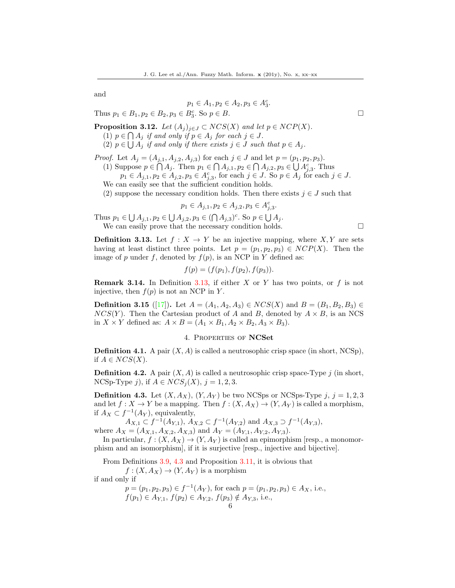and

$$
p_1 \in A_1, p_2 \in A_2, p_3 \in A_3^c.
$$

Thus  $p_1 \in B_1, p_2 \in B_2, p_3 \in B_3^c$ . So  $p \in B$ .

**Proposition 3.12.** Let  $(A_j)_{j\in J} \subset NCS(X)$  and let  $p \in NCP(X)$ .

- (1)  $p \in \bigcap A_j$  if and only if  $p \in A_j$  for each  $j \in J$ .
- (2)  $p \in \bigcup A_j$  if and only if there exists  $j \in J$  such that  $p \in A_j$ .

*Proof.* Let  $A_j = (A_{j,1}, A_{j,2}, A_{j,3})$  for each  $j \in J$  and let  $p = (p_1, p_2, p_3)$ . (1) Suppose  $p \in \bigcap A_j$ . Then  $p_1 \in \bigcap A_{j,1}, p_2 \in \bigcap A_{j,2}, p_3 \in \bigcup A_{j,3}^c$ . Thus

 $p_1 \in A_{j,1}, p_2 \in A_{j,2}, p_3 \in A_{j,3}^c$ , for each  $j \in J$ . So  $p \in A_j$  for each  $j \in J$ . We can easily see that the sufficient condition holds.

(2) suppose the necessary condition holds. Then there exists  $j \in J$  such that

$$
p_1 \in A_{j,1}, p_2 \in A_{j,2}, p_3 \in A_{j,3}^c.
$$

Thus  $p_1 \in \bigcup A_{j,1}, p_2 \in \bigcup A_{j,2}, p_3 \in (\bigcap A_{j,3})^c$ . So  $p \in \bigcup A_j$ . We can easily prove that the necessary condition holds.  $\Box$ 

**Definition 3.13.** Let 
$$
f : X \to Y
$$
 be an injective mapping, where  $X, Y$  are sets having at least distinct three points. Let  $p = (p_1, p_2, p_3) \in NCP(X)$ . Then the image of  $p$  under  $f$ , denoted by  $f(p)$ , is an NCP in  $Y$  defined as:

$$
f(p) = (f(p_1), f(p_2), f(p_3)).
$$

**Remark 3.14.** In Definition 3.13, if either X or Y has two points, or  $f$  is not injective, then  $f(p)$  is not an NCP in Y.

**Definition 3.15** ([\[17\]](#page-11-8)). Let  $A = (A_1, A_2, A_3) \in NCS(X)$  and  $B = (B_1, B_2, B_3) \in$  $NCS(Y)$ . Then the Cartesian product of A and B, denoted by  $A \times B$ , is an NCS in  $X \times Y$  defined as:  $A \times B = (A_1 \times B_1, A_2 \times B_2, A_3 \times B_3).$ 

## 4. Properties of NCSet

**Definition 4.1.** A pair  $(X, A)$  is called a neutrosophic crisp space (in short, NCSp), if  $A \in NCS(X)$ .

**Definition 4.2.** A pair  $(X, A)$  is called a neutrosophic crisp space-Type j (in short, NCSp-Type j), if  $A \in NCS<sub>i</sub>(X)$ ,  $j = 1, 2, 3$ .

**Definition 4.3.** Let  $(X, A_X)$ ,  $(Y, A_Y)$  be two NCSps or NCSps-Type j,  $j = 1, 2, 3$ and let  $f: X \to Y$  be a mapping. Then  $f: (X, A_X) \to (Y, A_Y)$  is called a morphism, if  $A_X \subset f^{-1}(A_Y)$ , equivalently,

 $A_{X,1} \subset f^{-1}(A_{Y,1}), A_{X,2} \subset f^{-1}(A_{Y,2})$  and  $A_{X,3} \supset f^{-1}(A_{Y,3}),$ where  $A_X = (A_{X,1}, A_{X,2}, A_{X,3})$  and  $A_Y = (A_{Y,1}, A_{Y,2}, A_{Y,3})$ .

In particular,  $f : (X, A_X) \to (Y, A_Y)$  is called an epimorphism [resp., a monomorphism and an isomorphism], if it is surjective [resp., injective and bijective].

From Definitions 3.9, 4.3 and Proposition 3.11, it is obvious that

 $f: (X, A_X) \to (Y, A_Y)$  is a morphism if and only if

$$
p = (p_1, p_2, p_3) \in f^{-1}(A_Y)
$$
, for each  $p = (p_1, p_2, p_3) \in A_X$ , i.e.,  
\n $f(p_1) \in A_{Y,1}$ ,  $f(p_2) \in A_{Y,2}$ ,  $f(p_3) \notin A_{Y,3}$ , i.e.,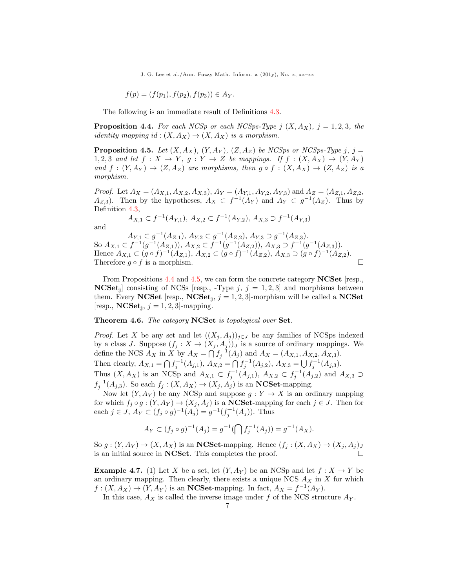$$
f(p) = (f(p_1), f(p_2), f(p_3)) \in A_Y.
$$

The following is an immediate result of Definitions 4.3.

**Proposition 4.4.** For each NCSp or each NCSps-Type j  $(X, A_X)$ , j = 1, 2, 3, the *identity mapping id* :  $(X, A_X) \rightarrow (X, A_X)$  *is a morphism.* 

**Proposition 4.5.** Let  $(X, A_X)$ ,  $(Y, A_Y)$ ,  $(Z, A_Z)$  be NCSps or NCSps-Type j, j = 1, 2, 3 and let  $f: X \to Y$ ,  $g: Y \to Z$  be mappings. If  $f: (X, A_X) \to (Y, A_Y)$ and  $f:(Y, A_Y) \to (Z, A_Z)$  are morphisms, then  $g \circ f:(X, A_X) \to (Z, A_Z)$  is a morphism.

*Proof.* Let  $A_X = (A_{X,1}, A_{X,2}, A_{X,3}), A_Y = (A_{Y,1}, A_{Y,2}, A_{Y,3})$  and  $A_Z = (A_{Z,1}, A_{Z,2}, A_{Z,3})$  $A_{Z,3}$ ). Then by the hypotheses,  $A_X \subset f^{-1}(A_Y)$  and  $A_Y \subset g^{-1}(A_Z)$ . Thus by Definition 4.3,

$$
A_{X,1} \subset f^{-1}(A_{Y,1}), \, A_{X,2} \subset f^{-1}(A_{Y,2}), \, A_{X,3} \supset f^{-1}(A_{Y,3})
$$

and

 $A_{Y,1} \subset g^{-1}(A_{Z,1}), A_{Y,2} \subset g^{-1}(A_{Z,2}), A_{Y,3} \supset g^{-1}(A_{Z,3}).$ So  $A_{X,1} \subset f^{-1}(g^{-1}(A_{Z,1})), A_{X,2} \subset f^{-1}(g^{-1}(A_{Z,2})), A_{X,3} \supset f^{-1}(g^{-1}(A_{Z,3})).$ Hence  $A_{X,1} \subset (g \circ f)^{-1}(A_{Z,1}), A_{X,2} \subset (g \circ f)^{-1}(A_{Z,2}), A_{X,3} \supset (g \circ f)^{-1}(A_{Z,2}).$ Therefore  $g \circ f$  is a morphism.

From Propositions 4.4 and 4.5, we can form the concrete category **NCSet** resp. **NCSet**<sub>j</sub> consisting of NCSs [resp., -Type  $j, j = 1, 2, 3$ ] and morphisms between them. Every NCSet [resp.,  $NCSet_j$ ,  $j = 1, 2, 3$ ]-morphism will be called a NCSet [resp.,  $NCSet_j$ ,  $j = 1, 2, 3$ ]-mapping.

Theorem 4.6. The category NCSet is topological over Set.

*Proof.* Let X be any set and let  $((X_j, A_j))_{j\in J}$  be any families of NCSps indexed by a class J. Suppose  $(f_j : X \to (X_j, A_j))$  is a source of ordinary mappings. We define the NCS  $A_X$  in X by  $A_X = \bigcap f_j^{-1}(A_j)$  and  $A_X = (A_{X,1}, A_{X,2}, A_{X,3})$ . Then clearly,  $A_{X,1} = \bigcap f_j^{-1}(A_{j,1}), A_{X,2} = \bigcap f_j^{-1}(A_{j,2}), A_{X,3} = \bigcup f_j^{-1}(A_{j,3}).$ Thus  $(X, A_X)$  is an NCSp and  $A_{X,1} \subset f_j^{-1}(A_{j,1}), A_{X,2} \subset f_j^{-1}(A_{j,2})$  and  $A_{X,3} \supset$ 

 $f_j^{-1}(A_{j,3})$ . So each  $f_j:(X,A_X)\to (X_j,A_j)$  is an **NCSet**-mapping.

Now let  $(Y, A_Y)$  be any NCSp and suppose  $g: Y \to X$  is an ordinary mapping for which  $f_j \circ g : (Y, A_Y) \to (X_j, A_j)$  is a **NCSet**-mapping for each  $j \in J$ . Then for each  $j \in J$ ,  $A_Y \subset (f_j \circ g)^{-1}(A_j) = g^{-1}(f_j^{-1}(A_j))$ . Thus

$$
A_Y \subset (f_j \circ g)^{-1}(A_j) = g^{-1}(\bigcap f_j^{-1}(A_j)) = g^{-1}(A_X).
$$

So  $g: (Y, A_Y) \to (X, A_X)$  is an **NCSet**-mapping. Hence  $(f_j: (X, A_X) \to (X_j, A_j)_J$ is an initial source in **NCSet**. This completes the proof.  $\Box$ 

**Example 4.7.** (1) Let X be a set, let  $(Y, A_Y)$  be an NCSp and let  $f: X \to Y$  be an ordinary mapping. Then clearly, there exists a unique NCS  $A_X$  in X for which  $f:(X,A_X) \to (Y,A_Y)$  is an **NCSet**-mapping. In fact,  $A_X = f^{-1}(A_Y)$ .

In this case,  $A_X$  is called the inverse image under  $f$  of the NCS structure  $A_Y$ .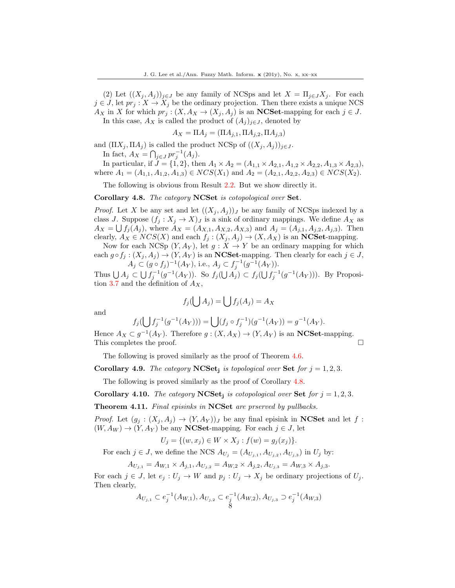(2) Let  $((X_i, A_i))_{i\in J}$  be any family of NCSps and let  $X = \prod_{i\in J} X_i$ . For each  $j \in J$ , let  $pr_j : X \to X_j$  be the ordinary projection. Then there exists a unique NCS  $A_X$  in X for which  $pr_j : (X, A_X \to (X_j, A_j))$  is an **NCSet**-mapping for each  $j \in J$ . In this case,  $A_X$  is called the product of  $(A_i)_{i\in J}$ , denoted by

 $A_X = \Pi A_j = (\Pi A_{j,1}, \Pi A_{j,2}, \Pi A_{j,3})$ 

and  $(\Pi X_j, \Pi A_j)$  is called the product NCSp of  $((X_j, A_j))_{i \in J}$ . In fact,  $A_X = \bigcap_{j \in J} pr_j^{-1}(A_j)$ .

In particular, if  $J = \{1, 2\}$ , then  $A_1 \times A_2 = (A_{1,1} \times A_{2,1}, A_{1,2} \times A_{2,2}, A_{1,3} \times A_{2,3}),$ where  $A_1 = (A_{1,1}, A_{1,2}, A_{1,3}) \in NCS(X_1)$  and  $A_2 = (A_{2,1}, A_{2,2}, A_{2,3}) \in NCS(X_2)$ .

The following is obvious from Result 2.2. But we show directly it.

Corollary 4.8. The category NCSet is cotopological over Set.

*Proof.* Let X be any set and let  $((X_j, A_j))_J$  be any family of NCSps indexed by a class J. Suppose  $(f_j : X_j \to X)_J$  is a sink of ordinary mappings. We define  $A_X$  as  $A_X = \bigcup f_j(A_j)$ , where  $A_X = (A_{X,1}, A_{X,2}, A_{X,3})$  and  $A_j = (A_{j,1}, A_{j,2}, A_{j,3})$ . Then clearly,  $A_X \in NCS(X)$  and each  $f_j : (X_j, A_j) \to (X, A_X)$  is an **NCSet**-mapping.

Now for each NCSp  $(Y, A_Y)$ , let  $g: X \to Y$  be an ordinary mapping for which each  $g \circ f_j : (X_j, A_j) \to (Y, A_Y)$  is an **NCSet**-mapping. Then clearly for each  $j \in J$ ,  $A_j \subset (g \circ f_j)^{-1}(A_Y)$ , i.e.,  $A_j \subset f_j^{-1}(g^{-1}(A_Y))$ .

Thus  $\bigcup A_j \subset \bigcup f_j^{-1}(g^{-1}(A_Y))$ . So  $f_j(\bigcup A_j) \subset f_j(\bigcup f_j^{-1}(g^{-1}(A_Y)))$ . By Proposition 3.7 and the definition of  $A_X$ ,

$$
f_j(\bigcup A_j) = \bigcup f_j(A_j) = A_X
$$

and

$$
f_j(\bigcup f_j^{-1}(g^{-1}(A_Y))) = \bigcup (f_j \circ f_j^{-1})(g^{-1}(A_Y)) = g^{-1}(A_Y).
$$

Hence  $A_X \,\subset g^{-1}(A_Y)$ . Therefore  $g: (X, A_X) \to (Y, A_Y)$  is an **NCSet**-mapping. This completes the proof.

The following is proved similarly as the proof of Theorem 4.6.

**Corollary 4.9.** The category  $NCSet_i$  is topological over Set for  $j = 1, 2, 3$ .

The following is proved similarly as the proof of Corollary 4.8.

Corollary 4.10. The category NCSet<sub>i</sub> is cotopological over Set for  $j = 1, 2, 3$ .

**Theorem 4.11.** Final episinks in NCSet are prserved by pullbacks.

*Proof.* Let  $(g_j : (X_j, A_j) \to (Y, A_Y))_J$  be any final episink in **NCSet** and let f:  $(W, A_W) \rightarrow (Y, A_Y)$  be any **NCSet-mapping.** For each  $j \in J$ , let

$$
U_j = \{ (w, x_j) \in W \times X_j : f(w) = g_j(x_j) \}.
$$

For each  $j \in J$ , we define the NCS  $A_{U_j} = (A_{U_{j,1}}, A_{U_{j,2}}, A_{U_{j,3}})$  in  $U_j$  by:

$$
A_{U_{j,1}} = A_{W,1} \times A_{j,1}, A_{U_{j,2}} = A_{W,2} \times A_{j,2}, A_{U_{j,3}} = A_{W,3} \times A_{j,3}.
$$

For each  $j \in J$ , let  $e_j : U_j \to W$  and  $p_j : U_j \to X_j$  be ordinary projections of  $U_j$ . Then clearly,

$$
A_{U_{j,1}} \subset e_j^{-1}(A_{W,1}), A_{U_{j,2}} \subset e_j^{-1}(A_{W,2}), A_{U_{j,3}} \supset e_j^{-1}(A_{W,3})
$$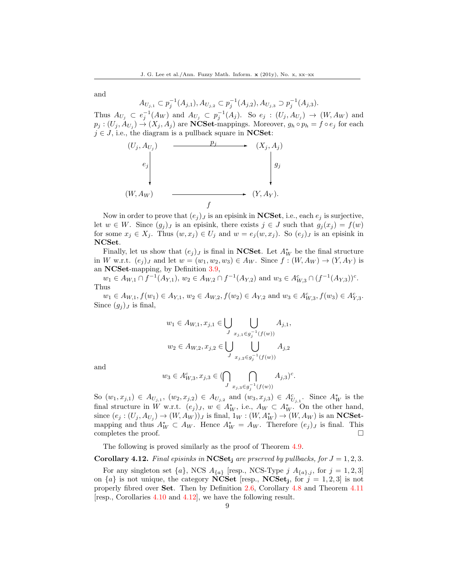and

 $A_{U_{j,1}} \subset p_j^{-1}(A_{j,1}), A_{U_{j,2}} \subset p_j^{-1}(A_{j,2}), A_{U_{j,3}} \supset p_j^{-1}(A_{j,3}).$ Thus  $A_{U_j} \subset e_j^{-1}(A_W)$  and  $A_{U_j} \subset p_j^{-1}(A_j)$ . So  $e_j : (U_j, A_{U_j}) \to (W, A_W)$  and  $p_j: (U_j, A_{U_j}) \to (X_j, A_j)$  are **NCSet**-mappings. Moreover,  $g_h \circ p_h = f \circ e_j$  for each  $j \in J$ , i.e., the diagram is a pullback square in **NCSet**:



Now in order to prove that  $(e_j)_j$  is an episink in **NCSet**, i.e., each  $e_j$  is surjective, let  $w \in W$ . Since  $(g_j)_J$  is an episink, there exists  $j \in J$  such that  $g_j(x_j) = f(w)$ for some  $x_j \in X_j$ . Thus  $(w, x_j) \in U_j$  and  $w = e_j(w, x_j)$ . So  $(e_j)_J$  is an episink in NCSet.

Finally, let us show that  $(e_j)_J$  is final in **NCSet**. Let  $A_W^*$  be the final structure in W w.r.t.  $(e_j)_J$  and let  $w = (w_1, w_2, w_3) \in A_W$ . Since  $f : (W, A_W) \to (Y, A_Y)$  is an NCSet-mapping, by Definition 3.9,

 $w_1 \in A_{W,1} \cap f^{-1}(A_{Y,1}), w_2 \in A_{W,2} \cap f^{-1}(A_{Y,2})$  and  $w_3 \in A_{W,3}^c \cap (f^{-1}(A_{Y,3}))^c$ . Thus

 $w_1 \in A_{W,1}, f(w_1) \in A_{Y,1}, w_2 \in A_{W,2}, f(w_2) \in A_{Y,2}$  and  $w_3 \in A_{W,3}^c, f(w_3) \in A_{Y,3}^c$ . Since  $(g_i)_J$  is final,

$$
w_1 \in A_{W,1}, x_{j,1} \in \bigcup_{J} \bigcup_{x_{j,1} \in g_j^{-1}(f(w))} A_{j,1},
$$
  

$$
w_2 \in A_{W,2}, x_{j,2} \in \bigcup_{J} \bigcup_{x_{j,2} \in g_j^{-1}(f(w))} A_{j,2}
$$

and

$$
w_3 \in A_{W,3}^c, x_{j,3} \in (\bigcap_{J} \bigcap_{x_{j,3} \in g_j^{-1}(f(w))} A_{j,3})^c.
$$

So  $(w_1, x_{j,1}) \in A_{U_{j,1}}, (w_2, x_{j,2}) \in A_{U_{j,2}}$  and  $(w_3, x_{j,3}) \in A_{U_{j,1}}^c$ . Since  $A_W^*$  is the final structure in W w.r.t.  $(e_j)_J$ ,  $w \in A_W^*$ , i.e.,  $A_W \subset A_W^*$ . On the other hand, since  $(e_j:(U_j,A_{U_j})\to(W,A_W))_J$  is final,  $1_W:(W,A_W^*)\to(W,A_W)$  is an **NCSet**mapping and thus  $A_W^* \subset A_W$ . Hence  $A_W^* = A_W$ . Therefore  $(e_j)_J$  is final. This completes the proof.  $\Box$ 

The following is proved similarly as the proof of Theorem 4.9.

## **Corollary 4.12.** Final episinks in NCSet<sub>i</sub> are prserved by pullbacks, for  $J = 1, 2, 3$ .

For any singleton set  $\{a\}$ , NCS  $A_{\{a\}}$  [resp., NCS-Type j  $A_{\{a\},j}$ , for  $j=1,2,3$ ] on  $\{a\}$  is not unique, the category **NCSet** [resp., **NCSet**<sub>j</sub>, for  $j = 1, 2, 3$ ] is not properly fibred over Set. Then by Definition 2.6, Corollary 4.8 and Theorem 4.11 [resp., Corollaries 4.10 and 4.12], we have the following result.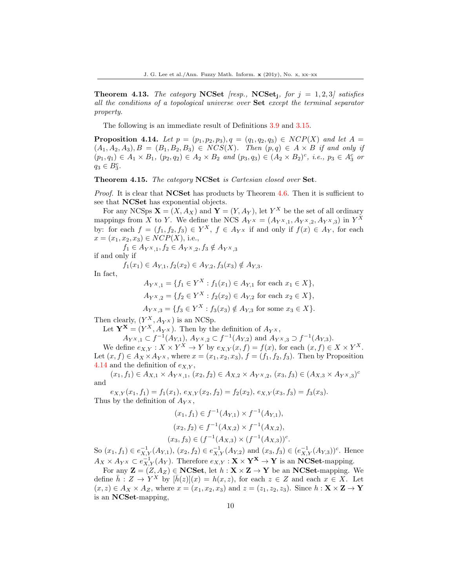**Theorem 4.13.** The category NCSet [resp., NCSet<sub>i</sub>, for  $j = 1, 2, 3$ ] satisfies all the conditions of a topological universe over Set except the terminal separator property.

The following is an immediate result of Definitions 3.9 and 3.15.

**Proposition 4.14.** Let  $p = (p_1, p_2, p_3), q = (q_1, q_2, q_3) \in NCP(X)$  and let  $A =$  $(A_1, A_2, A_3), B = (B_1, B_2, B_3) \in NCS(X)$ . Then  $(p, q) \in A \times B$  if and only if  $(p_1, q_1) \in A_1 \times B_1$ ,  $(p_2, q_2) \in A_2 \times B_2$  and  $(p_3, q_3) \in (A_2 \times B_2)^c$ , i.e.,  $p_3 \in A_3^c$  or  $q_3 \in B_3^c$ .

Theorem 4.15. The category NCSet is Cartesian closed over Set.

*Proof.* It is clear that **NCSet** has products by Theorem 4.6. Then it is sufficient to see that NCSet has exponential objects.

For any NCSps  $\mathbf{X} = (X, A_X)$  and  $\mathbf{Y} = (Y, A_Y)$ , let  $Y^X$  be the set of all ordinary mappings from X to Y. We define the NCS  $A_{Y} = (A_{YX,1}, A_{YX,2}, A_{YX,3})$  in  $Y^X$ by: for each  $f = (f_1, f_2, f_3) \in Y^X$ ,  $f \in A_{Y^X}$  if and only if  $f(x) \in A_Y$ , for each  $x = (x_1, x_2, x_3) \in NCP(X)$ , i.e.,

 $f_1 \in A_{Y^X,1}, f_2 \in A_{Y^X,2}, f_3 \notin A_{Y^X,3}$ if and only if

 $f_1(x_1) \in A_{Y,1}, f_2(x_2) \in A_{Y,2}, f_3(x_3) \notin A_{Y,3}.$ 

In fact,

$$
A_{Y^X,1} = \{ f_1 \in Y^X : f_1(x_1) \in A_{Y,1} \text{ for each } x_1 \in X \},
$$
  

$$
A_{Y^X,2} = \{ f_2 \in Y^X : f_2(x_2) \in A_{Y,2} \text{ for each } x_2 \in X \},
$$

$$
A_{Y^X,3} = \{ f_3 \in Y^X : f_3(x_3) \notin A_{Y,3} \text{ for some } x_3 \in X \}.
$$

Then clearly,  $(Y^X, A_{Y^X})$  is an NCSp.

Let  $\mathbf{Y}^{\mathbf{X}} = (Y^X, A_{Y^X})$ . Then by the definition of  $A_{Y^X}$ ,

 $A_{Y^X,1} \subset f^{-1}(A_{Y,1}), A_{Y^X,2} \subset f^{-1}(A_{Y,2})$  and  $A_{Y^X,3} \supset f^{-1}(A_{Y,3}).$ 

We define  $e_{X,Y}: X \times Y^X \to Y$  by  $e_{X,Y}(x,f) = f(x)$ , for each  $(x,f) \in X \times Y^X$ . Let  $(x, f) \in A_X \times A_{Y}$ , where  $x = (x_1, x_2, x_3)$ ,  $f = (f_1, f_2, f_3)$ . Then by Proposition 4.14 and the definition of  $e_{X,Y}$ ,

 $(x_1, f_1) \in A_{X,1} \times A_{YX,1}, (x_2, f_2) \in A_{X,2} \times A_{YX,2}, (x_3, f_3) \in (A_{X,3} \times A_{YX,3})^c$ and

 $e_{X,Y}(x_1, f_1) = f_1(x_1), e_{X,Y}(x_2, f_2) = f_2(x_2), e_{X,Y}(x_3, f_3) = f_3(x_3).$ Thus by the definition of  $A_{Y}$ <sup>x</sup>,

$$
(x_1, f_1) \in f^{-1}(A_{Y,1}) \times f^{-1}(A_{Y,1}),
$$
  
\n
$$
(x_2, f_2) \in f^{-1}(A_{X,2}) \times f^{-1}(A_{X,2}),
$$
  
\n
$$
(x_3, f_3) \in (f^{-1}(A_{X,3}) \times (f^{-1}(A_{X,3}))^c).
$$

So  $(x_1, f_1) \in e^{-1}_{X,Y}(A_{Y,1}), (x_2, f_2) \in e^{-1}_{X,Y}(A_{Y,2})$  and  $(x_3, f_3) \in (e^{-1}_{X,Y}(A_{Y,3}))^c$ . Hence  $A_X \times A_{Y^X} \subset e^{-1}_{X,Y}(A_Y)$ . Therefore  $e_{X,Y}: \mathbf{X} \times \mathbf{Y}^{\mathbf{X}} \to \mathbf{Y}$  is an **NCSet**-mapping.

For any  $\mathbf{Z} = (Z, A_Z) \in \mathbf{NCSet}$ , let  $h : \mathbf{X} \times \mathbf{Z} \to \mathbf{Y}$  be an  $\mathbf{NCSet}$ -mapping. We define  $\bar{h}: Z \to Y^X$  by  $[\bar{h}(z)](x) = h(x, z)$ , for each  $z \in Z$  and each  $x \in X$ . Let  $(x, z) \in A_X \times A_Z$ , where  $x = (x_1, x_2, x_3)$  and  $z = (z_1, z_2, z_3)$ . Since  $h: \mathbf{X} \times \mathbf{Z} \to \mathbf{Y}$ is an NCSet-mapping,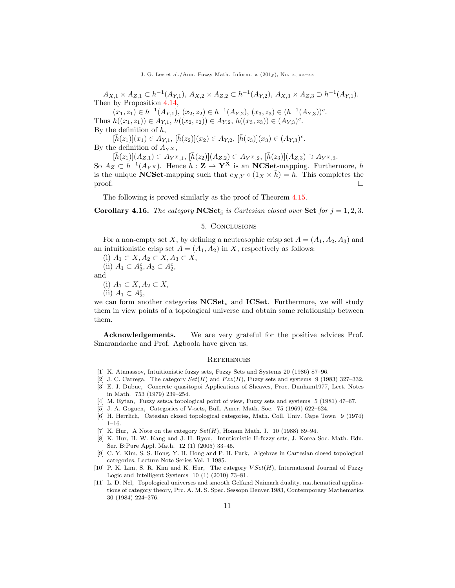$A_{X,1} \times A_{Z,1} \subset h^{-1}(A_{Y,1}), A_{X,2} \times A_{Z,2} \subset h^{-1}(A_{Y,2}), A_{X,3} \times A_{Z,3} \supset h^{-1}(A_{Y,1}).$ Then by Proposition 4.14,

 $(x_1, z_1) \in h^{-1}(A_{Y,1}), (x_2, z_2) \in h^{-1}(A_{Y,2}), (x_3, z_3) \in (h^{-1}(A_{Y,3}))^c.$ Thus  $h((x_1, z_1)) \in A_{Y,1}, h((x_2, z_2)) \in A_{Y,2}, h((x_3, z_3)) \in (A_{Y,3})^c$ . By the definition of  $\bar{h}$ ,

 $[\bar{h}(z_1)](x_1) \in A_{Y,1}, \, [\bar{h}(z_2)](x_2) \in A_{Y,2}, \, [\bar{h}(z_3)](x_3) \in (A_{Y,3})^c.$ By the definition of  $A_{Y}$ <sup>x</sup>,

 $[\bar{h}(z_1)](A_{Z,1}) \subset A_{Y^X,1}, [\bar{h}(z_2)](A_{Z,2}) \subset A_{Y^X,2}, [\bar{h}(z_3)](A_{Z,3}) \supset A_{Y^X,3}.$ So  $A_Z \subset \bar{h}^{-1}(A_{Y^X})$ . Hence  $\bar{h}: \mathbf{Z} \to \mathbf{Y}^{\mathbf{X}}$  is an NCSet-mapping. Furthermore,  $\bar{h}$ is the unique NCSet-mapping such that  $e_{X,Y} \circ (1_X \times \bar{h}) = h$ . This completes the  $\Box$ 

The following is proved similarly as the proof of Theorem 4.15.

**Corollary 4.16.** The category  $NCSet_i$  is Cartesian closed over Set for  $j = 1, 2, 3$ .

#### 5. Conclusions

For a non-empty set X, by defining a neutrosophic crisp set  $A = (A_1, A_2, A_3)$  and an intuitionistic crisp set  $A = (A_1, A_2)$  in X, respectively as follows:

(i)  $A_1 \subset X, A_2 \subset X, A_3 \subset X$ ,

(ii)  $A_1 \subset A_3^c, A_3 \subset A_2^c$ ,

and

(i)  $A_1 \subset X, A_2 \subset X$ ,

(ii)  $A_1 \subset A_2^c$ ,

we can form another categories NCSet<sup>∗</sup> and ICSet. Furthermore, we will study them in view points of a topological universe and obtain some relationship between them.

Acknowledgements. We are very grateful for the positive advices Prof. Smarandache and Prof. Agboola have given us.

#### **REFERENCES**

- <span id="page-10-0"></span>[1] K. Atanassov, Intuitionistic fuzzy sets, Fuzzy Sets and Systems 20 (1986) 87–96.
- <span id="page-10-1"></span>[2] J. C. Carrega, The category  $Set(H)$  and  $Fzz(H)$ , Fuzzy sets and systems 9 (1983) 327-332.
- <span id="page-10-2"></span>[3] E. J. Dubuc, Concrete quasitopoi Applications of Sheaves, Proc. Dunham1977, Lect. Notes in Math. 753 (1979) 239–254.
- <span id="page-10-3"></span>[4] M. Eytan, Fuzzy sets:a topological point of view, Fuzzy sets and systems 5 (1981) 47–67.
- <span id="page-10-4"></span>[5] J. A. Goguen, Categories of V-sets, Bull. Amer. Math. Soc. 75 (1969) 622–624.
- <span id="page-10-9"></span>[6] H. Herrlich, Catesian closed topological categories, Math. Coll. Univ. Cape Town 9 (1974) 1–16.
- <span id="page-10-5"></span>[7] K. Hur, A Note on the category  $Set(H)$ , Honam Math. J. 10 (1988) 89-94.
- <span id="page-10-6"></span>[8] K. Hur, H. W. Kang and J. H. Ryou, Intutionistic H-fuzzy sets, J. Korea Soc. Math. Edu. Ser. B:Pure Appl. Math. 12 (1) (2005) 33–45.
- <span id="page-10-10"></span>[9] C. Y. Kim, S. S. Hong, Y. H. Hong and P. H. Park, Algebras in Cartesian closed topological categories, Lecture Note Series Vol. 1 1985.
- <span id="page-10-7"></span>[10] P. K. Lim, S. R. Kim and K. Hur, The category  $VSet(H)$ , International Journal of Fuzzy Logic and Intelligent Systems 10 (1) (2010) 73–81.
- <span id="page-10-8"></span>[11] L. D. Nel, Topological universes and smooth Gelfand Naimark duality, mathematical applications of category theory, Prc. A. M. S. Spec. Sessopn Denver,1983, Contemporary Mathematics 30 (1984) 224–276.